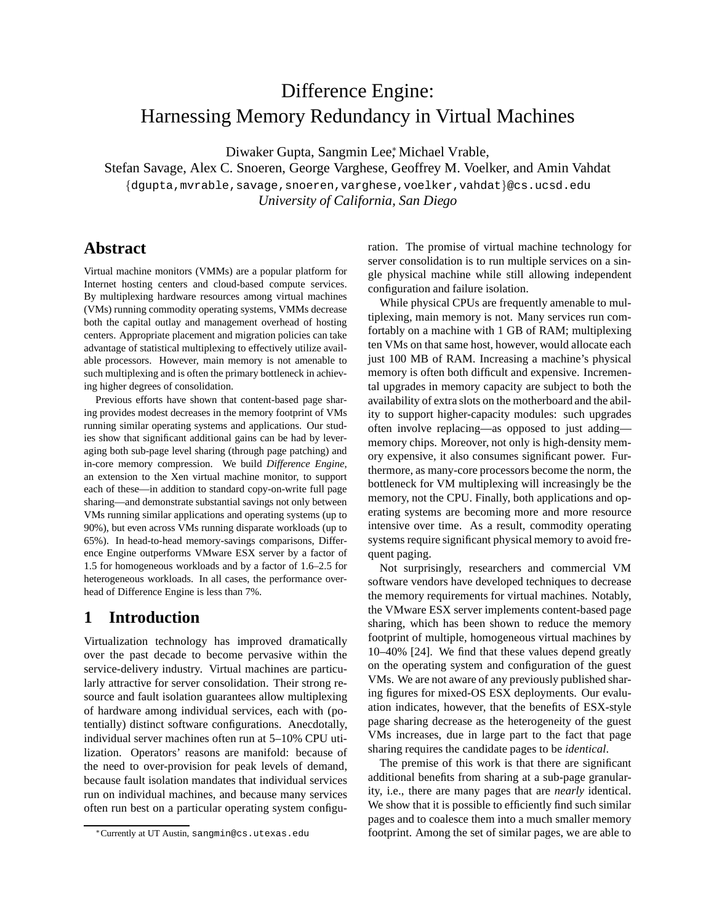# Difference Engine: Harnessing Memory Redundancy in Virtual Machines

Diwaker Gupta, Sangmin Lee<sup>∗</sup> , Michael Vrable,

Stefan Savage, Alex C. Snoeren, George Varghese, Geoffrey M. Voelker, and Amin Vahdat {dgupta,mvrable,savage,snoeren,varghese,voelker,vahdat}@cs.ucsd.edu *University of California, San Diego*

## **Abstract**

Virtual machine monitors (VMMs) are a popular platform for Internet hosting centers and cloud-based compute services. By multiplexing hardware resources among virtual machines (VMs) running commodity operating systems, VMMs decrease both the capital outlay and management overhead of hosting centers. Appropriate placement and migration policies can take advantage of statistical multiplexing to effectively utilize available processors. However, main memory is not amenable to such multiplexing and is often the primary bottleneck in achieving higher degrees of consolidation.

Previous efforts have shown that content-based page sharing provides modest decreases in the memory footprint of VMs running similar operating systems and applications. Our studies show that significant additional gains can be had by leveraging both sub-page level sharing (through page patching) and in-core memory compression. We build *Difference Engine*, an extension to the Xen virtual machine monitor, to support each of these—in addition to standard copy-on-write full page sharing—and demonstrate substantial savings not only between VMs running similar applications and operating systems (up to 90%), but even across VMs running disparate workloads (up to 65%). In head-to-head memory-savings comparisons, Difference Engine outperforms VMware ESX server by a factor of 1.5 for homogeneous workloads and by a factor of 1.6–2.5 for heterogeneous workloads. In all cases, the performance overhead of Difference Engine is less than 7%.

## **1 Introduction**

Virtualization technology has improved dramatically over the past decade to become pervasive within the service-delivery industry. Virtual machines are particularly attractive for server consolidation. Their strong resource and fault isolation guarantees allow multiplexing of hardware among individual services, each with (potentially) distinct software configurations. Anecdotally, individual server machines often run at 5–10% CPU utilization. Operators' reasons are manifold: because of the need to over-provision for peak levels of demand, because fault isolation mandates that individual services run on individual machines, and because many services often run best on a particular operating system configuration. The promise of virtual machine technology for server consolidation is to run multiple services on a single physical machine while still allowing independent configuration and failure isolation.

While physical CPUs are frequently amenable to multiplexing, main memory is not. Many services run comfortably on a machine with 1 GB of RAM; multiplexing ten VMs on that same host, however, would allocate each just 100 MB of RAM. Increasing a machine's physical memory is often both difficult and expensive. Incremental upgrades in memory capacity are subject to both the availability of extra slots on the motherboard and the ability to support higher-capacity modules: such upgrades often involve replacing—as opposed to just adding memory chips. Moreover, not only is high-density memory expensive, it also consumes significant power. Furthermore, as many-core processors become the norm, the bottleneck for VM multiplexing will increasingly be the memory, not the CPU. Finally, both applications and operating systems are becoming more and more resource intensive over time. As a result, commodity operating systems require significant physical memory to avoid frequent paging.

Not surprisingly, researchers and commercial VM software vendors have developed techniques to decrease the memory requirements for virtual machines. Notably, the VMware ESX server implements content-based page sharing, which has been shown to reduce the memory footprint of multiple, homogeneous virtual machines by 10–40% [24]. We find that these values depend greatly on the operating system and configuration of the guest VMs. We are not aware of any previously published sharing figures for mixed-OS ESX deployments. Our evaluation indicates, however, that the benefits of ESX-style page sharing decrease as the heterogeneity of the guest VMs increases, due in large part to the fact that page sharing requires the candidate pages to be *identical*.

The premise of this work is that there are significant additional benefits from sharing at a sub-page granularity, i.e., there are many pages that are *nearly* identical. We show that it is possible to efficiently find such similar pages and to coalesce them into a much smaller memory footprint. Among the set of similar pages, we are able to

<sup>∗</sup>Currently at UT Austin, sangmin@cs.utexas.edu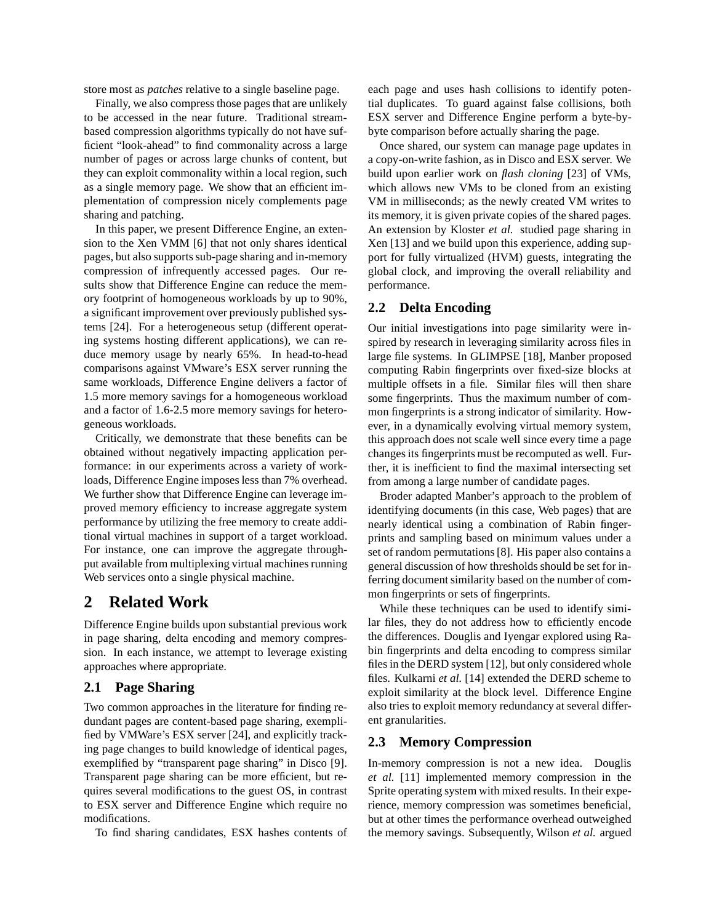store most as *patches* relative to a single baseline page.

Finally, we also compress those pages that are unlikely to be accessed in the near future. Traditional streambased compression algorithms typically do not have sufficient "look-ahead" to find commonality across a large number of pages or across large chunks of content, but they can exploit commonality within a local region, such as a single memory page. We show that an efficient implementation of compression nicely complements page sharing and patching.

In this paper, we present Difference Engine, an extension to the Xen VMM [6] that not only shares identical pages, but also supports sub-page sharing and in-memory compression of infrequently accessed pages. Our results show that Difference Engine can reduce the memory footprint of homogeneous workloads by up to 90%, a significant improvement over previously published systems [24]. For a heterogeneous setup (different operating systems hosting different applications), we can reduce memory usage by nearly 65%. In head-to-head comparisons against VMware's ESX server running the same workloads, Difference Engine delivers a factor of 1.5 more memory savings for a homogeneous workload and a factor of 1.6-2.5 more memory savings for heterogeneous workloads.

Critically, we demonstrate that these benefits can be obtained without negatively impacting application performance: in our experiments across a variety of workloads, Difference Engine imposes less than 7% overhead. We further show that Difference Engine can leverage improved memory efficiency to increase aggregate system performance by utilizing the free memory to create additional virtual machines in support of a target workload. For instance, one can improve the aggregate throughput available from multiplexing virtual machines running Web services onto a single physical machine.

## **2 Related Work**

Difference Engine builds upon substantial previous work in page sharing, delta encoding and memory compression. In each instance, we attempt to leverage existing approaches where appropriate.

### **2.1 Page Sharing**

Two common approaches in the literature for finding redundant pages are content-based page sharing, exemplified by VMWare's ESX server [24], and explicitly tracking page changes to build knowledge of identical pages, exemplified by "transparent page sharing" in Disco [9]. Transparent page sharing can be more efficient, but requires several modifications to the guest OS, in contrast to ESX server and Difference Engine which require no modifications.

To find sharing candidates, ESX hashes contents of

each page and uses hash collisions to identify potential duplicates. To guard against false collisions, both ESX server and Difference Engine perform a byte-bybyte comparison before actually sharing the page.

Once shared, our system can manage page updates in a copy-on-write fashion, as in Disco and ESX server. We build upon earlier work on *flash cloning* [23] of VMs, which allows new VMs to be cloned from an existing VM in milliseconds; as the newly created VM writes to its memory, it is given private copies of the shared pages. An extension by Kloster *et al.* studied page sharing in Xen [13] and we build upon this experience, adding support for fully virtualized (HVM) guests, integrating the global clock, and improving the overall reliability and performance.

### **2.2 Delta Encoding**

Our initial investigations into page similarity were inspired by research in leveraging similarity across files in large file systems. In GLIMPSE [18], Manber proposed computing Rabin fingerprints over fixed-size blocks at multiple offsets in a file. Similar files will then share some fingerprints. Thus the maximum number of common fingerprints is a strong indicator of similarity. However, in a dynamically evolving virtual memory system, this approach does not scale well since every time a page changes its fingerprints must be recomputed as well. Further, it is inefficient to find the maximal intersecting set from among a large number of candidate pages.

Broder adapted Manber's approach to the problem of identifying documents (in this case, Web pages) that are nearly identical using a combination of Rabin fingerprints and sampling based on minimum values under a set of random permutations [8]. His paper also contains a general discussion of how thresholds should be set for inferring document similarity based on the number of common fingerprints or sets of fingerprints.

While these techniques can be used to identify similar files, they do not address how to efficiently encode the differences. Douglis and Iyengar explored using Rabin fingerprints and delta encoding to compress similar files in the DERD system [12], but only considered whole files. Kulkarni *et al.* [14] extended the DERD scheme to exploit similarity at the block level. Difference Engine also tries to exploit memory redundancy at several different granularities.

### **2.3 Memory Compression**

In-memory compression is not a new idea. Douglis *et al.* [11] implemented memory compression in the Sprite operating system with mixed results. In their experience, memory compression was sometimes beneficial, but at other times the performance overhead outweighed the memory savings. Subsequently, Wilson *et al.* argued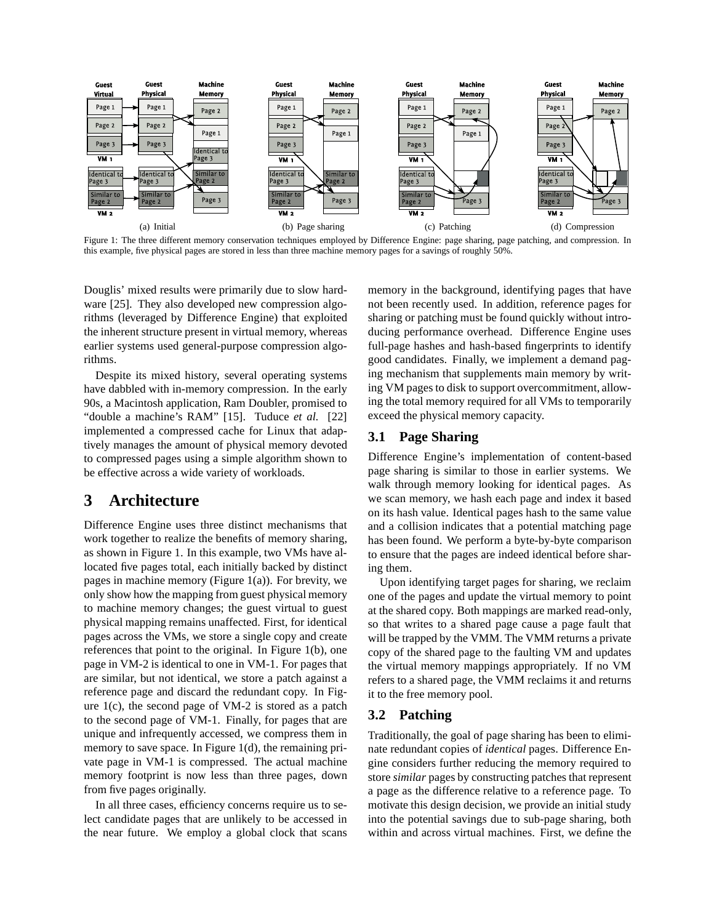

Figure 1: The three different memory conservation techniques employed by Difference Engine: page sharing, page patching, and compression. In this example, five physical pages are stored in less than three machine memory pages for a savings of roughly 50%.

Douglis' mixed results were primarily due to slow hardware [25]. They also developed new compression algorithms (leveraged by Difference Engine) that exploited the inherent structure present in virtual memory, whereas earlier systems used general-purpose compression algorithms.

Despite its mixed history, several operating systems have dabbled with in-memory compression. In the early 90s, a Macintosh application, Ram Doubler, promised to "double a machine's RAM" [15]. Tuduce *et al.* [22] implemented a compressed cache for Linux that adaptively manages the amount of physical memory devoted to compressed pages using a simple algorithm shown to be effective across a wide variety of workloads.

## **3 Architecture**

Difference Engine uses three distinct mechanisms that work together to realize the benefits of memory sharing, as shown in Figure 1. In this example, two VMs have allocated five pages total, each initially backed by distinct pages in machine memory (Figure  $1(a)$ ). For brevity, we only show how the mapping from guest physical memory to machine memory changes; the guest virtual to guest physical mapping remains unaffected. First, for identical pages across the VMs, we store a single copy and create references that point to the original. In Figure 1(b), one page in VM-2 is identical to one in VM-1. For pages that are similar, but not identical, we store a patch against a reference page and discard the redundant copy. In Figure  $1(c)$ , the second page of VM-2 is stored as a patch to the second page of VM-1. Finally, for pages that are unique and infrequently accessed, we compress them in memory to save space. In Figure 1(d), the remaining private page in VM-1 is compressed. The actual machine memory footprint is now less than three pages, down from five pages originally.

In all three cases, efficiency concerns require us to select candidate pages that are unlikely to be accessed in the near future. We employ a global clock that scans memory in the background, identifying pages that have not been recently used. In addition, reference pages for sharing or patching must be found quickly without introducing performance overhead. Difference Engine uses full-page hashes and hash-based fingerprints to identify good candidates. Finally, we implement a demand paging mechanism that supplements main memory by writing VM pages to disk to support overcommitment, allowing the total memory required for all VMs to temporarily exceed the physical memory capacity.

### **3.1 Page Sharing**

Difference Engine's implementation of content-based page sharing is similar to those in earlier systems. We walk through memory looking for identical pages. As we scan memory, we hash each page and index it based on its hash value. Identical pages hash to the same value and a collision indicates that a potential matching page has been found. We perform a byte-by-byte comparison to ensure that the pages are indeed identical before sharing them.

Upon identifying target pages for sharing, we reclaim one of the pages and update the virtual memory to point at the shared copy. Both mappings are marked read-only, so that writes to a shared page cause a page fault that will be trapped by the VMM. The VMM returns a private copy of the shared page to the faulting VM and updates the virtual memory mappings appropriately. If no VM refers to a shared page, the VMM reclaims it and returns it to the free memory pool.

### **3.2 Patching**

Traditionally, the goal of page sharing has been to eliminate redundant copies of *identical* pages. Difference Engine considers further reducing the memory required to store *similar* pages by constructing patches that represent a page as the difference relative to a reference page. To motivate this design decision, we provide an initial study into the potential savings due to sub-page sharing, both within and across virtual machines. First, we define the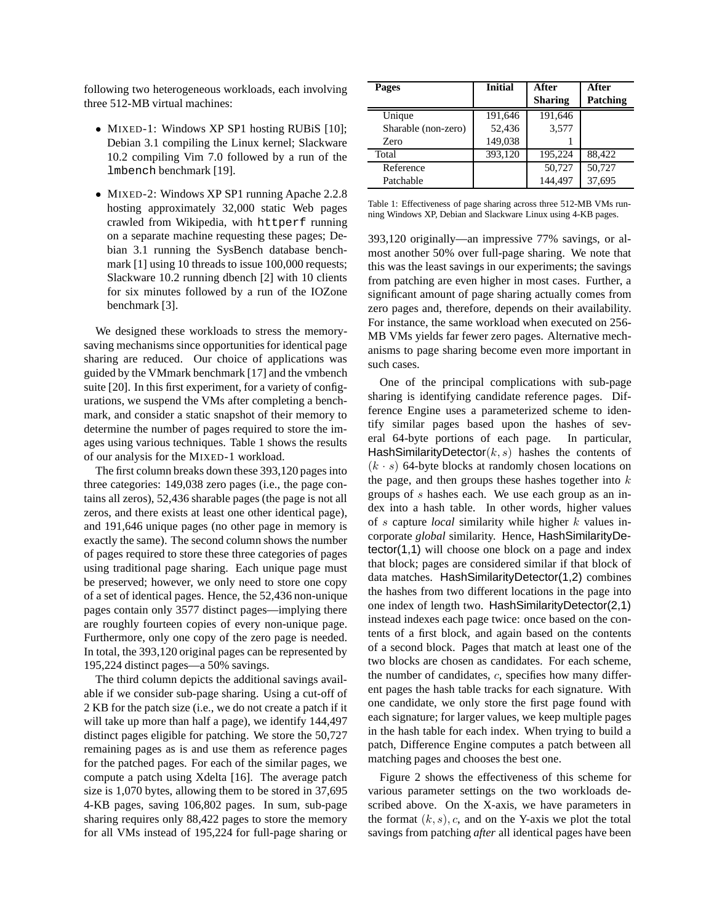following two heterogeneous workloads, each involving three 512-MB virtual machines:

- MIXED-1: Windows XP SP1 hosting RUBiS [10]; Debian 3.1 compiling the Linux kernel; Slackware 10.2 compiling Vim 7.0 followed by a run of the lmbench benchmark [19].
- MIXED-2: Windows XP SP1 running Apache 2.2.8 hosting approximately 32,000 static Web pages crawled from Wikipedia, with httperf running on a separate machine requesting these pages; Debian 3.1 running the SysBench database benchmark [1] using 10 threads to issue 100,000 requests; Slackware 10.2 running dbench [2] with 10 clients for six minutes followed by a run of the IOZone benchmark [3].

We designed these workloads to stress the memorysaving mechanisms since opportunities for identical page sharing are reduced. Our choice of applications was guided by the VMmark benchmark [17] and the vmbench suite [20]. In this first experiment, for a variety of configurations, we suspend the VMs after completing a benchmark, and consider a static snapshot of their memory to determine the number of pages required to store the images using various techniques. Table 1 shows the results of our analysis for the MIXED-1 workload.

The first column breaks down these 393,120 pages into three categories: 149,038 zero pages (i.e., the page contains all zeros), 52,436 sharable pages (the page is not all zeros, and there exists at least one other identical page), and 191,646 unique pages (no other page in memory is exactly the same). The second column shows the number of pages required to store these three categories of pages using traditional page sharing. Each unique page must be preserved; however, we only need to store one copy of a set of identical pages. Hence, the 52,436 non-unique pages contain only 3577 distinct pages—implying there are roughly fourteen copies of every non-unique page. Furthermore, only one copy of the zero page is needed. In total, the 393,120 original pages can be represented by 195,224 distinct pages—a 50% savings.

The third column depicts the additional savings available if we consider sub-page sharing. Using a cut-off of 2 KB for the patch size (i.e., we do not create a patch if it will take up more than half a page), we identify 144,497 distinct pages eligible for patching. We store the 50,727 remaining pages as is and use them as reference pages for the patched pages. For each of the similar pages, we compute a patch using Xdelta [16]. The average patch size is 1,070 bytes, allowing them to be stored in 37,695 4-KB pages, saving 106,802 pages. In sum, sub-page sharing requires only 88,422 pages to store the memory for all VMs instead of 195,224 for full-page sharing or

| <b>Pages</b>        | <b>Initial</b> | After          | After    |
|---------------------|----------------|----------------|----------|
|                     |                | <b>Sharing</b> | Patching |
| Unique              | 191,646        | 191,646        |          |
| Sharable (non-zero) | 52,436         | 3,577          |          |
| Zero                | 149,038        |                |          |
| Total               | 393,120        | 195,224        | 88,422   |
| Reference           |                | 50,727         | 50,727   |
| Patchable           |                | 144,497        | 37,695   |

Table 1: Effectiveness of page sharing across three 512-MB VMs running Windows XP, Debian and Slackware Linux using 4-KB pages.

393,120 originally—an impressive 77% savings, or almost another 50% over full-page sharing. We note that this was the least savings in our experiments; the savings from patching are even higher in most cases. Further, a significant amount of page sharing actually comes from zero pages and, therefore, depends on their availability. For instance, the same workload when executed on 256- MB VMs yields far fewer zero pages. Alternative mechanisms to page sharing become even more important in such cases.

One of the principal complications with sub-page sharing is identifying candidate reference pages. Difference Engine uses a parameterized scheme to identify similar pages based upon the hashes of several 64-byte portions of each page. In particular, HashSimilarityDetector $(k, s)$  hashes the contents of  $(k \cdot s)$  64-byte blocks at randomly chosen locations on the page, and then groups these hashes together into  $k$ groups of s hashes each. We use each group as an index into a hash table. In other words, higher values of s capture *local* similarity while higher k values incorporate *global* similarity. Hence, HashSimilarityDe $tector(1,1)$  will choose one block on a page and index that block; pages are considered similar if that block of data matches. HashSimilarityDetector(1,2) combines the hashes from two different locations in the page into one index of length two. HashSimilarityDetector(2,1) instead indexes each page twice: once based on the contents of a first block, and again based on the contents of a second block. Pages that match at least one of the two blocks are chosen as candidates. For each scheme, the number of candidates,  $c$ , specifies how many different pages the hash table tracks for each signature. With one candidate, we only store the first page found with each signature; for larger values, we keep multiple pages in the hash table for each index. When trying to build a patch, Difference Engine computes a patch between all matching pages and chooses the best one.

Figure 2 shows the effectiveness of this scheme for various parameter settings on the two workloads described above. On the X-axis, we have parameters in the format  $(k, s)$ , c, and on the Y-axis we plot the total savings from patching *after* all identical pages have been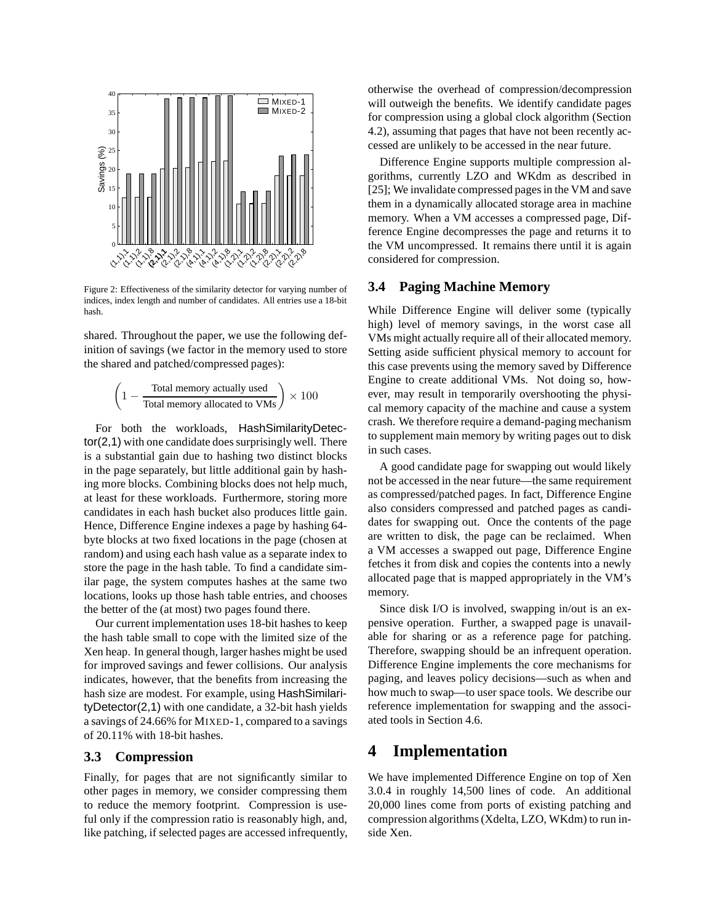

Figure 2: Effectiveness of the similarity detector for varying number of indices, index length and number of candidates. All entries use a 18-bit hash.

shared. Throughout the paper, we use the following definition of savings (we factor in the memory used to store the shared and patched/compressed pages):

$$
\left(1 - \frac{\text{Total memory actually used}}{\text{Total memory allocated to VMs}}\right) \times 100
$$

For both the workloads, HashSimilarityDetector(2,1) with one candidate does surprisingly well. There is a substantial gain due to hashing two distinct blocks in the page separately, but little additional gain by hashing more blocks. Combining blocks does not help much, at least for these workloads. Furthermore, storing more candidates in each hash bucket also produces little gain. Hence, Difference Engine indexes a page by hashing 64 byte blocks at two fixed locations in the page (chosen at random) and using each hash value as a separate index to store the page in the hash table. To find a candidate similar page, the system computes hashes at the same two locations, looks up those hash table entries, and chooses the better of the (at most) two pages found there.

Our current implementation uses 18-bit hashes to keep the hash table small to cope with the limited size of the Xen heap. In general though, larger hashes might be used for improved savings and fewer collisions. Our analysis indicates, however, that the benefits from increasing the hash size are modest. For example, using HashSimilarityDetector(2,1) with one candidate, a 32-bit hash yields a savings of 24.66% for MIXED-1, compared to a savings of 20.11% with 18-bit hashes.

#### **3.3 Compression**

Finally, for pages that are not significantly similar to other pages in memory, we consider compressing them to reduce the memory footprint. Compression is useful only if the compression ratio is reasonably high, and, like patching, if selected pages are accessed infrequently,

otherwise the overhead of compression/decompression will outweigh the benefits. We identify candidate pages for compression using a global clock algorithm (Section 4.2), assuming that pages that have not been recently accessed are unlikely to be accessed in the near future.

Difference Engine supports multiple compression algorithms, currently LZO and WKdm as described in [25]; We invalidate compressed pages in the VM and save them in a dynamically allocated storage area in machine memory. When a VM accesses a compressed page, Difference Engine decompresses the page and returns it to the VM uncompressed. It remains there until it is again considered for compression.

#### **3.4 Paging Machine Memory**

While Difference Engine will deliver some (typically high) level of memory savings, in the worst case all VMs might actually require all of their allocated memory. Setting aside sufficient physical memory to account for this case prevents using the memory saved by Difference Engine to create additional VMs. Not doing so, however, may result in temporarily overshooting the physical memory capacity of the machine and cause a system crash. We therefore require a demand-paging mechanism to supplement main memory by writing pages out to disk in such cases.

A good candidate page for swapping out would likely not be accessed in the near future—the same requirement as compressed/patched pages. In fact, Difference Engine also considers compressed and patched pages as candidates for swapping out. Once the contents of the page are written to disk, the page can be reclaimed. When a VM accesses a swapped out page, Difference Engine fetches it from disk and copies the contents into a newly allocated page that is mapped appropriately in the VM's memory.

Since disk I/O is involved, swapping in/out is an expensive operation. Further, a swapped page is unavailable for sharing or as a reference page for patching. Therefore, swapping should be an infrequent operation. Difference Engine implements the core mechanisms for paging, and leaves policy decisions—such as when and how much to swap—to user space tools. We describe our reference implementation for swapping and the associated tools in Section 4.6.

## **4 Implementation**

We have implemented Difference Engine on top of Xen 3.0.4 in roughly 14,500 lines of code. An additional 20,000 lines come from ports of existing patching and compression algorithms (Xdelta, LZO, WKdm) to run inside Xen.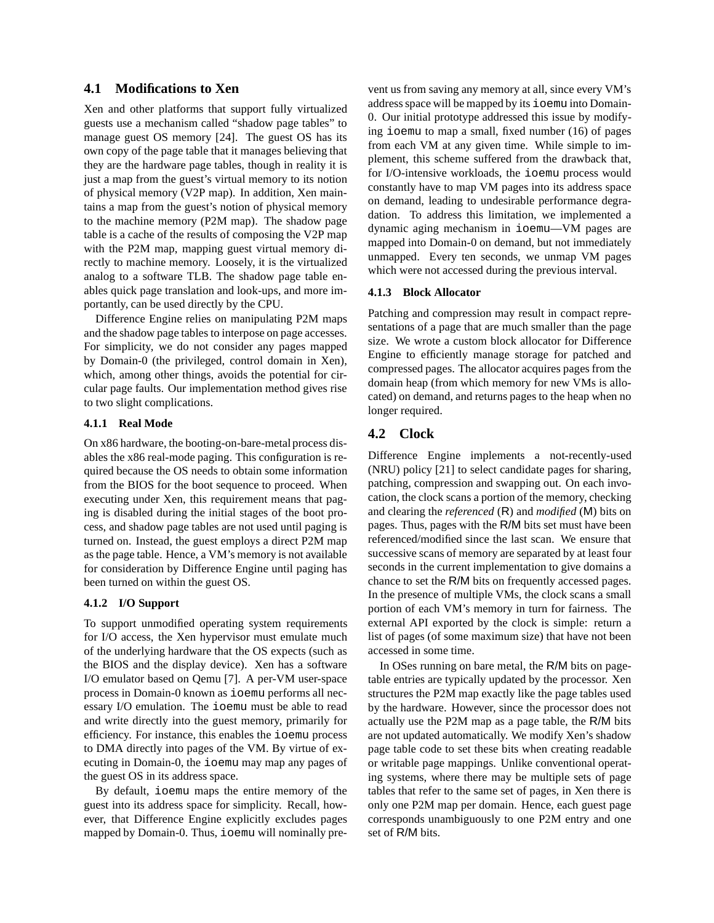### **4.1 Modifications to Xen**

Xen and other platforms that support fully virtualized guests use a mechanism called "shadow page tables" to manage guest OS memory [24]. The guest OS has its own copy of the page table that it manages believing that they are the hardware page tables, though in reality it is just a map from the guest's virtual memory to its notion of physical memory (V2P map). In addition, Xen maintains a map from the guest's notion of physical memory to the machine memory (P2M map). The shadow page table is a cache of the results of composing the V2P map with the P2M map, mapping guest virtual memory directly to machine memory. Loosely, it is the virtualized analog to a software TLB. The shadow page table enables quick page translation and look-ups, and more importantly, can be used directly by the CPU.

Difference Engine relies on manipulating P2M maps and the shadow page tables to interpose on page accesses. For simplicity, we do not consider any pages mapped by Domain-0 (the privileged, control domain in Xen), which, among other things, avoids the potential for circular page faults. Our implementation method gives rise to two slight complications.

#### **4.1.1 Real Mode**

On x86 hardware, the booting-on-bare-metal process disables the x86 real-mode paging. This configuration is required because the OS needs to obtain some information from the BIOS for the boot sequence to proceed. When executing under Xen, this requirement means that paging is disabled during the initial stages of the boot process, and shadow page tables are not used until paging is turned on. Instead, the guest employs a direct P2M map as the page table. Hence, a VM's memory is not available for consideration by Difference Engine until paging has been turned on within the guest OS.

#### **4.1.2 I/O Support**

To support unmodified operating system requirements for I/O access, the Xen hypervisor must emulate much of the underlying hardware that the OS expects (such as the BIOS and the display device). Xen has a software I/O emulator based on Qemu [7]. A per-VM user-space process in Domain-0 known as ioemu performs all necessary I/O emulation. The ioemu must be able to read and write directly into the guest memory, primarily for efficiency. For instance, this enables the ioemu process to DMA directly into pages of the VM. By virtue of executing in Domain-0, the ioemu may map any pages of the guest OS in its address space.

By default, ioemu maps the entire memory of the guest into its address space for simplicity. Recall, however, that Difference Engine explicitly excludes pages mapped by Domain-0. Thus, ioemu will nominally pre-

vent us from saving any memory at all, since every VM's address space will be mapped by its ioemu into Domain-0. Our initial prototype addressed this issue by modifying ioemu to map a small, fixed number (16) of pages from each VM at any given time. While simple to implement, this scheme suffered from the drawback that, for I/O-intensive workloads, the ioemu process would constantly have to map VM pages into its address space on demand, leading to undesirable performance degradation. To address this limitation, we implemented a dynamic aging mechanism in ioemu—VM pages are mapped into Domain-0 on demand, but not immediately unmapped. Every ten seconds, we unmap VM pages which were not accessed during the previous interval.

#### **4.1.3 Block Allocator**

Patching and compression may result in compact representations of a page that are much smaller than the page size. We wrote a custom block allocator for Difference Engine to efficiently manage storage for patched and compressed pages. The allocator acquires pages from the domain heap (from which memory for new VMs is allocated) on demand, and returns pages to the heap when no longer required.

### **4.2 Clock**

Difference Engine implements a not-recently-used (NRU) policy [21] to select candidate pages for sharing, patching, compression and swapping out. On each invocation, the clock scans a portion of the memory, checking and clearing the *referenced* (R) and *modified* (M) bits on pages. Thus, pages with the R/M bits set must have been referenced/modified since the last scan. We ensure that successive scans of memory are separated by at least four seconds in the current implementation to give domains a chance to set the R/M bits on frequently accessed pages. In the presence of multiple VMs, the clock scans a small portion of each VM's memory in turn for fairness. The external API exported by the clock is simple: return a list of pages (of some maximum size) that have not been accessed in some time.

In OSes running on bare metal, the R/M bits on pagetable entries are typically updated by the processor. Xen structures the P2M map exactly like the page tables used by the hardware. However, since the processor does not actually use the P2M map as a page table, the R/M bits are not updated automatically. We modify Xen's shadow page table code to set these bits when creating readable or writable page mappings. Unlike conventional operating systems, where there may be multiple sets of page tables that refer to the same set of pages, in Xen there is only one P2M map per domain. Hence, each guest page corresponds unambiguously to one P2M entry and one set of R/M bits.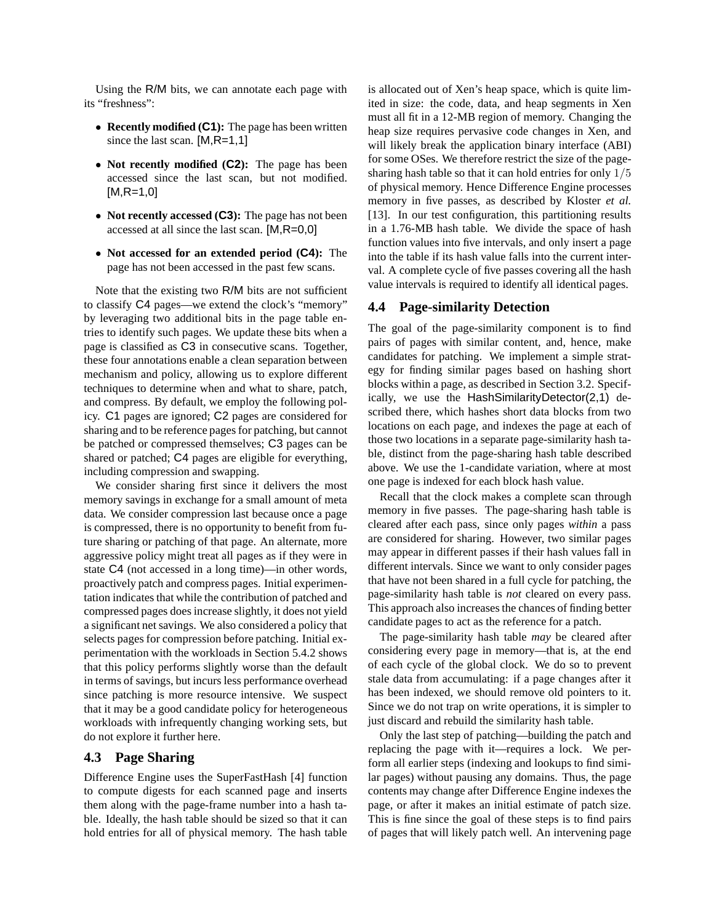Using the R/M bits, we can annotate each page with its "freshness":

- **Recently modified (C1):** The page has been written since the last scan. [M,R=1,1]
- **Not recently modified (C2):** The page has been accessed since the last scan, but not modified.  $[M, R=1, 0]$
- **Not recently accessed (C3):** The page has not been accessed at all since the last scan. [M,R=0,0]
- **Not accessed for an extended period (C4):** The page has not been accessed in the past few scans.

Note that the existing two R/M bits are not sufficient to classify C4 pages—we extend the clock's "memory" by leveraging two additional bits in the page table entries to identify such pages. We update these bits when a page is classified as C3 in consecutive scans. Together, these four annotations enable a clean separation between mechanism and policy, allowing us to explore different techniques to determine when and what to share, patch, and compress. By default, we employ the following policy. C1 pages are ignored; C2 pages are considered for sharing and to be reference pages for patching, but cannot be patched or compressed themselves; C3 pages can be shared or patched; C4 pages are eligible for everything, including compression and swapping.

We consider sharing first since it delivers the most memory savings in exchange for a small amount of meta data. We consider compression last because once a page is compressed, there is no opportunity to benefit from future sharing or patching of that page. An alternate, more aggressive policy might treat all pages as if they were in state C4 (not accessed in a long time)—in other words, proactively patch and compress pages. Initial experimentation indicates that while the contribution of patched and compressed pages does increase slightly, it does not yield a significant net savings. We also considered a policy that selects pages for compression before patching. Initial experimentation with the workloads in Section 5.4.2 shows that this policy performs slightly worse than the default in terms of savings, but incurs less performance overhead since patching is more resource intensive. We suspect that it may be a good candidate policy for heterogeneous workloads with infrequently changing working sets, but do not explore it further here.

#### **4.3 Page Sharing**

Difference Engine uses the SuperFastHash [4] function to compute digests for each scanned page and inserts them along with the page-frame number into a hash table. Ideally, the hash table should be sized so that it can hold entries for all of physical memory. The hash table

is allocated out of Xen's heap space, which is quite limited in size: the code, data, and heap segments in Xen must all fit in a 12-MB region of memory. Changing the heap size requires pervasive code changes in Xen, and will likely break the application binary interface (ABI) for some OSes. We therefore restrict the size of the pagesharing hash table so that it can hold entries for only 1/5 of physical memory. Hence Difference Engine processes memory in five passes, as described by Kloster *et al.* [13]. In our test configuration, this partitioning results in a 1.76-MB hash table. We divide the space of hash function values into five intervals, and only insert a page into the table if its hash value falls into the current interval. A complete cycle of five passes covering all the hash value intervals is required to identify all identical pages.

#### **4.4 Page-similarity Detection**

The goal of the page-similarity component is to find pairs of pages with similar content, and, hence, make candidates for patching. We implement a simple strategy for finding similar pages based on hashing short blocks within a page, as described in Section 3.2. Specifically, we use the HashSimilarityDetector(2,1) described there, which hashes short data blocks from two locations on each page, and indexes the page at each of those two locations in a separate page-similarity hash table, distinct from the page-sharing hash table described above. We use the 1-candidate variation, where at most one page is indexed for each block hash value.

Recall that the clock makes a complete scan through memory in five passes. The page-sharing hash table is cleared after each pass, since only pages *within* a pass are considered for sharing. However, two similar pages may appear in different passes if their hash values fall in different intervals. Since we want to only consider pages that have not been shared in a full cycle for patching, the page-similarity hash table is *not* cleared on every pass. This approach also increases the chances of finding better candidate pages to act as the reference for a patch.

The page-similarity hash table *may* be cleared after considering every page in memory—that is, at the end of each cycle of the global clock. We do so to prevent stale data from accumulating: if a page changes after it has been indexed, we should remove old pointers to it. Since we do not trap on write operations, it is simpler to just discard and rebuild the similarity hash table.

Only the last step of patching—building the patch and replacing the page with it—requires a lock. We perform all earlier steps (indexing and lookups to find similar pages) without pausing any domains. Thus, the page contents may change after Difference Engine indexes the page, or after it makes an initial estimate of patch size. This is fine since the goal of these steps is to find pairs of pages that will likely patch well. An intervening page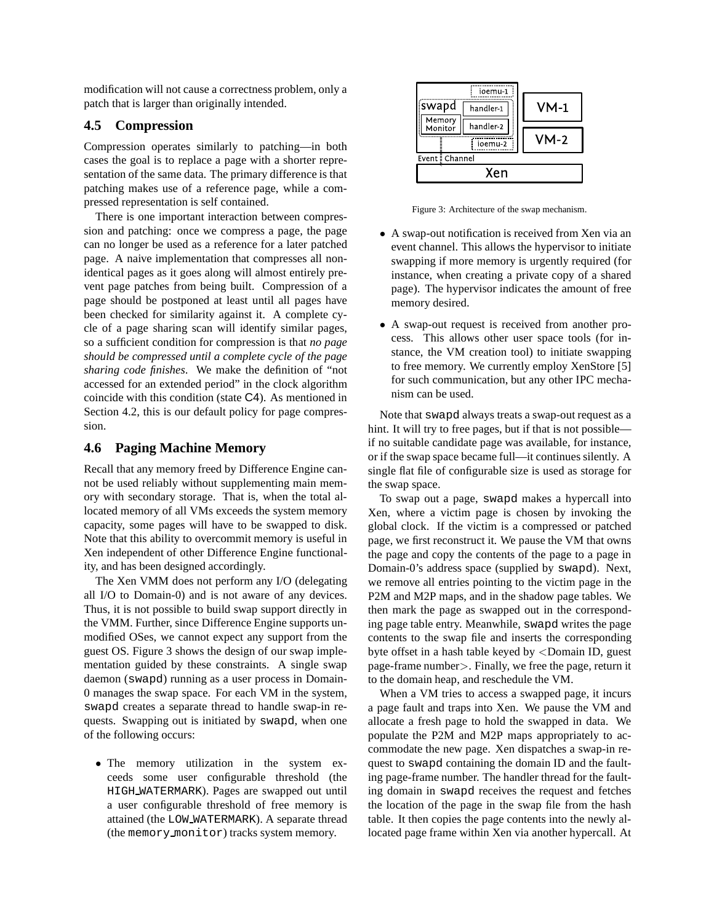modification will not cause a correctness problem, only a patch that is larger than originally intended.

### **4.5 Compression**

Compression operates similarly to patching—in both cases the goal is to replace a page with a shorter representation of the same data. The primary difference is that patching makes use of a reference page, while a compressed representation is self contained.

There is one important interaction between compression and patching: once we compress a page, the page can no longer be used as a reference for a later patched page. A naive implementation that compresses all nonidentical pages as it goes along will almost entirely prevent page patches from being built. Compression of a page should be postponed at least until all pages have been checked for similarity against it. A complete cycle of a page sharing scan will identify similar pages, so a sufficient condition for compression is that *no page should be compressed until a complete cycle of the page sharing code finishes*. We make the definition of "not accessed for an extended period" in the clock algorithm coincide with this condition (state C4). As mentioned in Section 4.2, this is our default policy for page compression.

### **4.6 Paging Machine Memory**

Recall that any memory freed by Difference Engine cannot be used reliably without supplementing main memory with secondary storage. That is, when the total allocated memory of all VMs exceeds the system memory capacity, some pages will have to be swapped to disk. Note that this ability to overcommit memory is useful in Xen independent of other Difference Engine functionality, and has been designed accordingly.

The Xen VMM does not perform any I/O (delegating all I/O to Domain-0) and is not aware of any devices. Thus, it is not possible to build swap support directly in the VMM. Further, since Difference Engine supports unmodified OSes, we cannot expect any support from the guest OS. Figure 3 shows the design of our swap implementation guided by these constraints. A single swap daemon (swapd) running as a user process in Domain-0 manages the swap space. For each VM in the system, swapd creates a separate thread to handle swap-in requests. Swapping out is initiated by swapd, when one of the following occurs:

• The memory utilization in the system exceeds some user configurable threshold (the HIGH WATERMARK). Pages are swapped out until a user configurable threshold of free memory is attained (the LOW WATERMARK). A separate thread (the memory monitor) tracks system memory.



Figure 3: Architecture of the swap mechanism.

- A swap-out notification is received from Xen via an event channel. This allows the hypervisor to initiate swapping if more memory is urgently required (for instance, when creating a private copy of a shared page). The hypervisor indicates the amount of free memory desired.
- A swap-out request is received from another process. This allows other user space tools (for instance, the VM creation tool) to initiate swapping to free memory. We currently employ XenStore [5] for such communication, but any other IPC mechanism can be used.

Note that swapd always treats a swap-out request as a hint. It will try to free pages, but if that is not possible if no suitable candidate page was available, for instance, or if the swap space became full—it continues silently. A single flat file of configurable size is used as storage for the swap space.

To swap out a page, swapd makes a hypercall into Xen, where a victim page is chosen by invoking the global clock. If the victim is a compressed or patched page, we first reconstruct it. We pause the VM that owns the page and copy the contents of the page to a page in Domain-0's address space (supplied by swapd). Next, we remove all entries pointing to the victim page in the P2M and M2P maps, and in the shadow page tables. We then mark the page as swapped out in the corresponding page table entry. Meanwhile, swapd writes the page contents to the swap file and inserts the corresponding byte offset in a hash table keyed by <Domain ID, guest page-frame number>. Finally, we free the page, return it to the domain heap, and reschedule the VM.

When a VM tries to access a swapped page, it incurs a page fault and traps into Xen. We pause the VM and allocate a fresh page to hold the swapped in data. We populate the P2M and M2P maps appropriately to accommodate the new page. Xen dispatches a swap-in request to swapd containing the domain ID and the faulting page-frame number. The handler thread for the faulting domain in swapd receives the request and fetches the location of the page in the swap file from the hash table. It then copies the page contents into the newly allocated page frame within Xen via another hypercall. At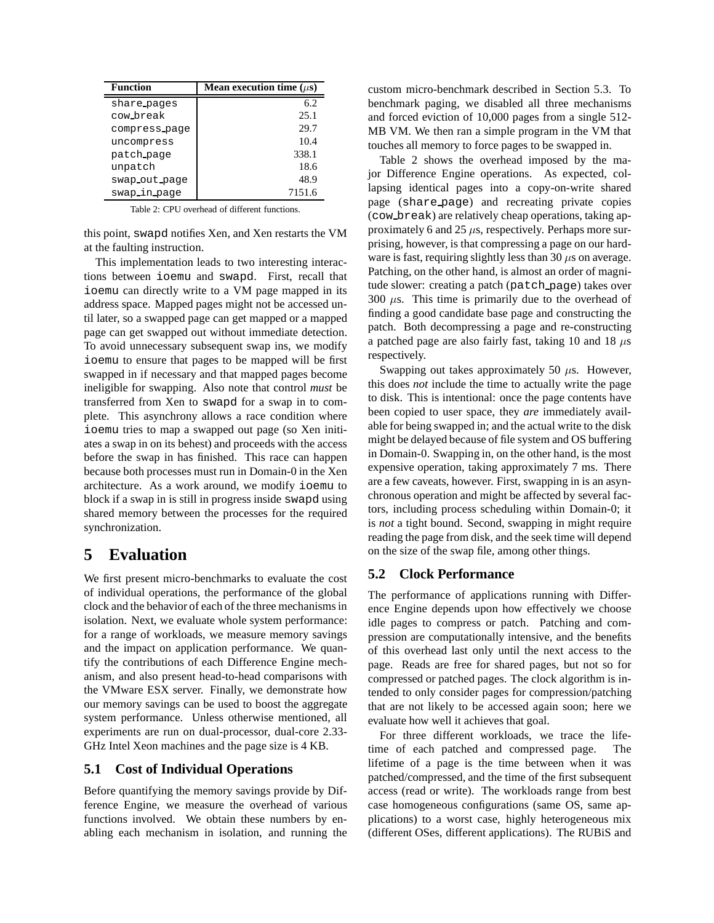| Function      | Mean execution time ( $\mu$ s) |
|---------------|--------------------------------|
| share_pages   | 6.2                            |
| cow_break     | 25.1                           |
| compress page | 29.7                           |
| uncompress    | 10.4                           |
| patch page    | 338.1                          |
| unpatch       | 18.6                           |
| swap out page | 48.9                           |
| swap_in_page  | 7151.6                         |

Table 2: CPU overhead of different functions.

this point, swapd notifies Xen, and Xen restarts the VM at the faulting instruction.

This implementation leads to two interesting interactions between ioemu and swapd. First, recall that ioemu can directly write to a VM page mapped in its address space. Mapped pages might not be accessed until later, so a swapped page can get mapped or a mapped page can get swapped out without immediate detection. To avoid unnecessary subsequent swap ins, we modify ioemu to ensure that pages to be mapped will be first swapped in if necessary and that mapped pages become ineligible for swapping. Also note that control *must* be transferred from Xen to swapd for a swap in to complete. This asynchrony allows a race condition where ioemu tries to map a swapped out page (so Xen initiates a swap in on its behest) and proceeds with the access before the swap in has finished. This race can happen because both processes must run in Domain-0 in the Xen architecture. As a work around, we modify ioemu to block if a swap in is still in progress inside swapd using shared memory between the processes for the required synchronization.

## **5 Evaluation**

We first present micro-benchmarks to evaluate the cost of individual operations, the performance of the global clock and the behavior of each of the three mechanisms in isolation. Next, we evaluate whole system performance: for a range of workloads, we measure memory savings and the impact on application performance. We quantify the contributions of each Difference Engine mechanism, and also present head-to-head comparisons with the VMware ESX server. Finally, we demonstrate how our memory savings can be used to boost the aggregate system performance. Unless otherwise mentioned, all experiments are run on dual-processor, dual-core 2.33- GHz Intel Xeon machines and the page size is 4 KB.

### **5.1 Cost of Individual Operations**

Before quantifying the memory savings provide by Difference Engine, we measure the overhead of various functions involved. We obtain these numbers by enabling each mechanism in isolation, and running the custom micro-benchmark described in Section 5.3. To benchmark paging, we disabled all three mechanisms and forced eviction of 10,000 pages from a single 512- MB VM. We then ran a simple program in the VM that touches all memory to force pages to be swapped in.

Table 2 shows the overhead imposed by the major Difference Engine operations. As expected, collapsing identical pages into a copy-on-write shared page (share page) and recreating private copies (cow break) are relatively cheap operations, taking approximately 6 and 25  $\mu$ s, respectively. Perhaps more surprising, however, is that compressing a page on our hardware is fast, requiring slightly less than 30  $\mu$ s on average. Patching, on the other hand, is almost an order of magnitude slower: creating a patch (patch page) takes over 300  $\mu$ s. This time is primarily due to the overhead of finding a good candidate base page and constructing the patch. Both decompressing a page and re-constructing a patched page are also fairly fast, taking 10 and 18  $\mu$ s respectively.

Swapping out takes approximately 50  $\mu$ s. However, this does *not* include the time to actually write the page to disk. This is intentional: once the page contents have been copied to user space, they *are* immediately available for being swapped in; and the actual write to the disk might be delayed because of file system and OS buffering in Domain-0. Swapping in, on the other hand, is the most expensive operation, taking approximately 7 ms. There are a few caveats, however. First, swapping in is an asynchronous operation and might be affected by several factors, including process scheduling within Domain-0; it is *not* a tight bound. Second, swapping in might require reading the page from disk, and the seek time will depend on the size of the swap file, among other things.

### **5.2 Clock Performance**

The performance of applications running with Difference Engine depends upon how effectively we choose idle pages to compress or patch. Patching and compression are computationally intensive, and the benefits of this overhead last only until the next access to the page. Reads are free for shared pages, but not so for compressed or patched pages. The clock algorithm is intended to only consider pages for compression/patching that are not likely to be accessed again soon; here we evaluate how well it achieves that goal.

For three different workloads, we trace the lifetime of each patched and compressed page. The lifetime of a page is the time between when it was patched/compressed, and the time of the first subsequent access (read or write). The workloads range from best case homogeneous configurations (same OS, same applications) to a worst case, highly heterogeneous mix (different OSes, different applications). The RUBiS and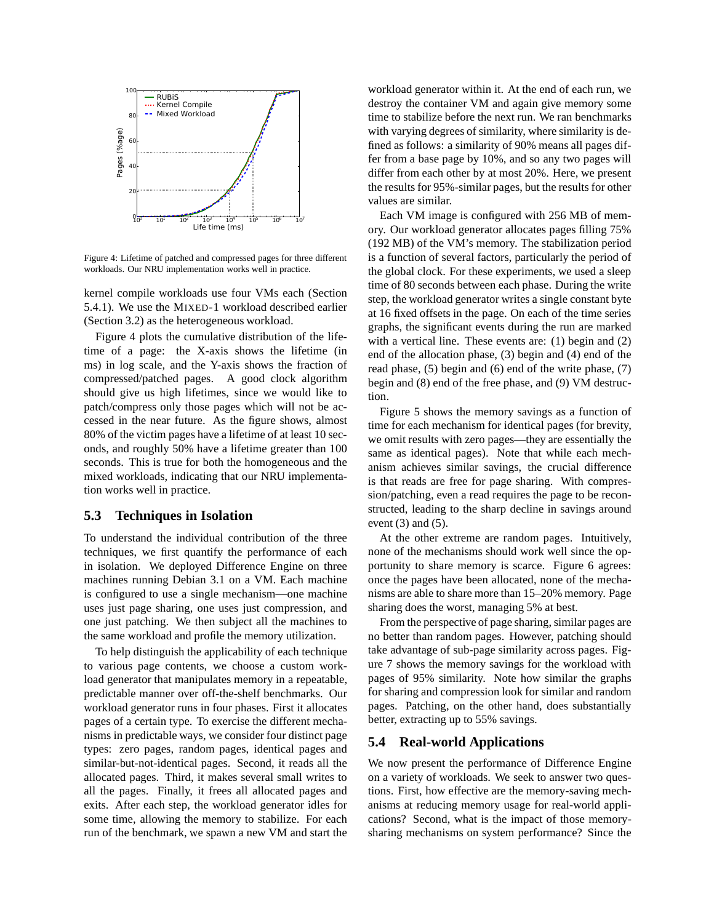

Figure 4: Lifetime of patched and compressed pages for three different workloads. Our NRU implementation works well in practice.

kernel compile workloads use four VMs each (Section 5.4.1). We use the MIXED-1 workload described earlier (Section 3.2) as the heterogeneous workload.

Figure 4 plots the cumulative distribution of the lifetime of a page: the X-axis shows the lifetime (in ms) in log scale, and the Y-axis shows the fraction of compressed/patched pages. A good clock algorithm should give us high lifetimes, since we would like to patch/compress only those pages which will not be accessed in the near future. As the figure shows, almost 80% of the victim pages have a lifetime of at least 10 seconds, and roughly 50% have a lifetime greater than 100 seconds. This is true for both the homogeneous and the mixed workloads, indicating that our NRU implementation works well in practice.

### **5.3 Techniques in Isolation**

To understand the individual contribution of the three techniques, we first quantify the performance of each in isolation. We deployed Difference Engine on three machines running Debian 3.1 on a VM. Each machine is configured to use a single mechanism—one machine uses just page sharing, one uses just compression, and one just patching. We then subject all the machines to the same workload and profile the memory utilization.

To help distinguish the applicability of each technique to various page contents, we choose a custom workload generator that manipulates memory in a repeatable, predictable manner over off-the-shelf benchmarks. Our workload generator runs in four phases. First it allocates pages of a certain type. To exercise the different mechanisms in predictable ways, we consider four distinct page types: zero pages, random pages, identical pages and similar-but-not-identical pages. Second, it reads all the allocated pages. Third, it makes several small writes to all the pages. Finally, it frees all allocated pages and exits. After each step, the workload generator idles for some time, allowing the memory to stabilize. For each run of the benchmark, we spawn a new VM and start the

workload generator within it. At the end of each run, we destroy the container VM and again give memory some time to stabilize before the next run. We ran benchmarks with varying degrees of similarity, where similarity is defined as follows: a similarity of 90% means all pages differ from a base page by 10%, and so any two pages will differ from each other by at most 20%. Here, we present the results for 95%-similar pages, but the results for other values are similar.

Each VM image is configured with 256 MB of memory. Our workload generator allocates pages filling 75% (192 MB) of the VM's memory. The stabilization period is a function of several factors, particularly the period of the global clock. For these experiments, we used a sleep time of 80 seconds between each phase. During the write step, the workload generator writes a single constant byte at 16 fixed offsets in the page. On each of the time series graphs, the significant events during the run are marked with a vertical line. These events are: (1) begin and (2) end of the allocation phase, (3) begin and (4) end of the read phase, (5) begin and (6) end of the write phase, (7) begin and (8) end of the free phase, and (9) VM destruction.

Figure 5 shows the memory savings as a function of time for each mechanism for identical pages (for brevity, we omit results with zero pages—they are essentially the same as identical pages). Note that while each mechanism achieves similar savings, the crucial difference is that reads are free for page sharing. With compression/patching, even a read requires the page to be reconstructed, leading to the sharp decline in savings around event  $(3)$  and  $(5)$ .

At the other extreme are random pages. Intuitively, none of the mechanisms should work well since the opportunity to share memory is scarce. Figure 6 agrees: once the pages have been allocated, none of the mechanisms are able to share more than 15–20% memory. Page sharing does the worst, managing 5% at best.

From the perspective of page sharing, similar pages are no better than random pages. However, patching should take advantage of sub-page similarity across pages. Figure 7 shows the memory savings for the workload with pages of 95% similarity. Note how similar the graphs for sharing and compression look for similar and random pages. Patching, on the other hand, does substantially better, extracting up to 55% savings.

### **5.4 Real-world Applications**

We now present the performance of Difference Engine on a variety of workloads. We seek to answer two questions. First, how effective are the memory-saving mechanisms at reducing memory usage for real-world applications? Second, what is the impact of those memorysharing mechanisms on system performance? Since the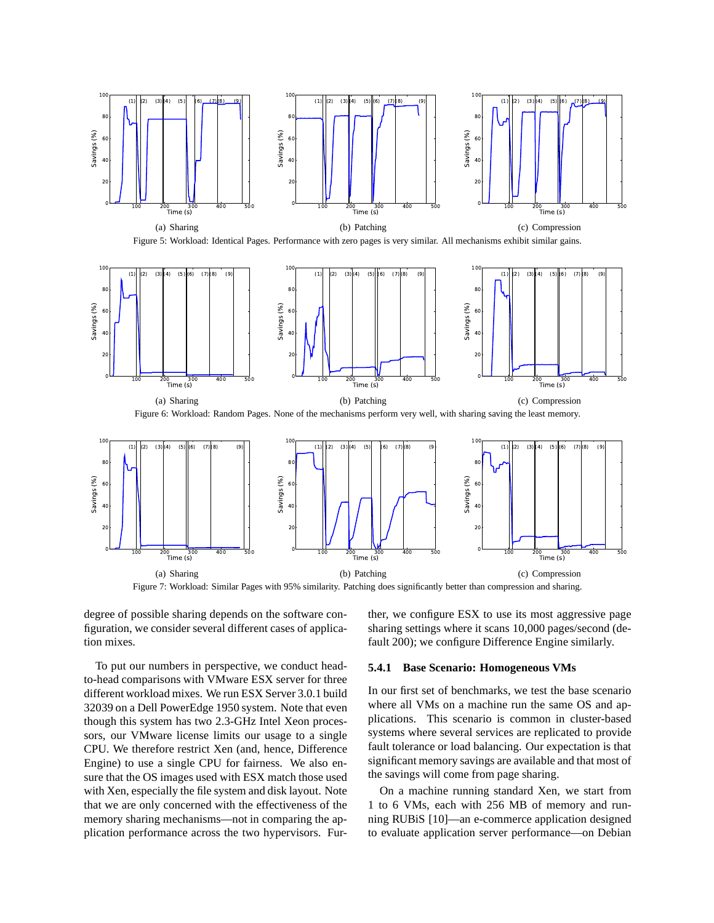

Figure 7: Workload: Similar Pages with 95% similarity. Patching does significantly better than compression and sharing.

degree of possible sharing depends on the software configuration, we consider several different cases of application mixes.

To put our numbers in perspective, we conduct headto-head comparisons with VMware ESX server for three different workload mixes. We run ESX Server 3.0.1 build 32039 on a Dell PowerEdge 1950 system. Note that even though this system has two 2.3-GHz Intel Xeon processors, our VMware license limits our usage to a single CPU. We therefore restrict Xen (and, hence, Difference Engine) to use a single CPU for fairness. We also ensure that the OS images used with ESX match those used with Xen, especially the file system and disk layout. Note that we are only concerned with the effectiveness of the memory sharing mechanisms—not in comparing the application performance across the two hypervisors. Fur-

ther, we configure ESX to use its most aggressive page sharing settings where it scans 10,000 pages/second (default 200); we configure Difference Engine similarly.

#### **5.4.1 Base Scenario: Homogeneous VMs**

In our first set of benchmarks, we test the base scenario where all VMs on a machine run the same OS and applications. This scenario is common in cluster-based systems where several services are replicated to provide fault tolerance or load balancing. Our expectation is that significant memory savings are available and that most of the savings will come from page sharing.

On a machine running standard Xen, we start from 1 to 6 VMs, each with 256 MB of memory and running RUBiS [10]—an e-commerce application designed to evaluate application server performance—on Debian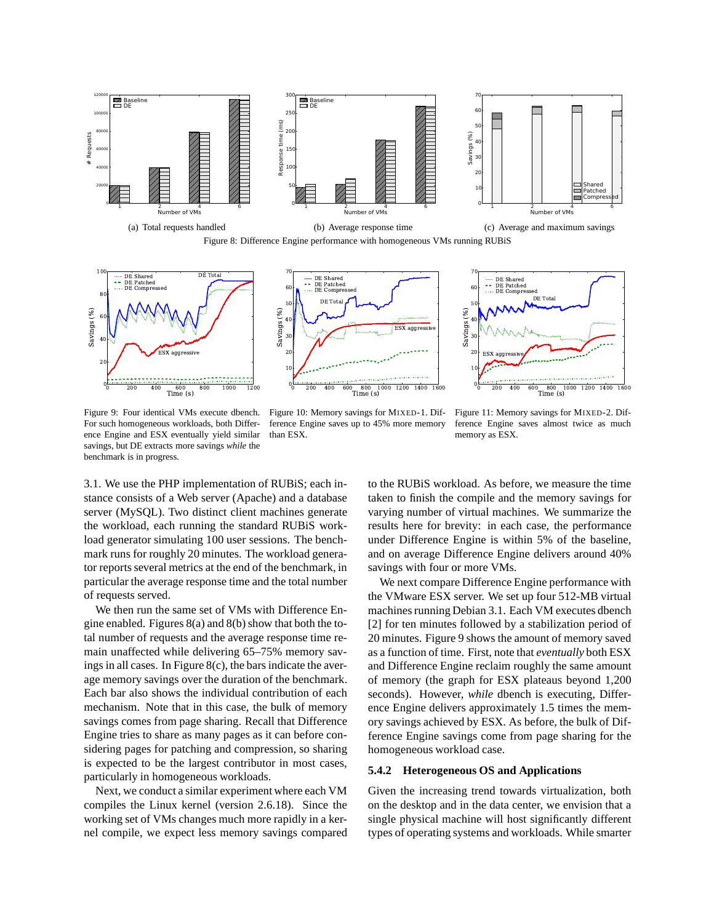

Figure 8: Difference Engine performance with homogeneous VMs running RUBiS



Figure 9: Four identical VMs execute dbench. For such homogeneous workloads, both Difference Engine and ESX eventually yield similar savings, but DE extracts more savings *while* the benchmark is in progress.

Figure 10: Memory savings for MIXED-1. Difference Engine saves up to 45% more memory than ESX.

Figure 11: Memory savings for MIXED-2. Difference Engine saves almost twice as much memory as ESX.

3.1. We use the PHP implementation of RUBiS; each instance consists of a Web server (Apache) and a database server (MySQL). Two distinct client machines generate the workload, each running the standard RUBiS workload generator simulating 100 user sessions. The benchmark runs for roughly 20 minutes. The workload generator reports several metrics at the end of the benchmark, in particular the average response time and the total number of requests served.

We then run the same set of VMs with Difference Engine enabled. Figures 8(a) and 8(b) show that both the total number of requests and the average response time remain unaffected while delivering 65–75% memory savings in all cases. In Figure 8(c), the bars indicate the average memory savings over the duration of the benchmark. Each bar also shows the individual contribution of each mechanism. Note that in this case, the bulk of memory savings comes from page sharing. Recall that Difference Engine tries to share as many pages as it can before considering pages for patching and compression, so sharing is expected to be the largest contributor in most cases, particularly in homogeneous workloads.

Next, we conduct a similar experiment where each VM compiles the Linux kernel (version 2.6.18). Since the working set of VMs changes much more rapidly in a kernel compile, we expect less memory savings compared

to the RUBiS workload. As before, we measure the time taken to finish the compile and the memory savings for varying number of virtual machines. We summarize the results here for brevity: in each case, the performance under Difference Engine is within 5% of the baseline, and on average Difference Engine delivers around 40% savings with four or more VMs.

We next compare Difference Engine performance with the VMware ESX server. We set up four 512-MB virtual machines running Debian 3.1. Each VM executes dbench [2] for ten minutes followed by a stabilization period of 20 minutes. Figure 9 shows the amount of memory saved as a function of time. First, note that *eventually* both ESX and Difference Engine reclaim roughly the same amount of memory (the graph for ESX plateaus beyond 1,200 seconds). However, *while* dbench is executing, Difference Engine delivers approximately 1.5 times the memory savings achieved by ESX. As before, the bulk of Difference Engine savings come from page sharing for the homogeneous workload case.

#### **5.4.2 Heterogeneous OS and Applications**

Given the increasing trend towards virtualization, both on the desktop and in the data center, we envision that a single physical machine will host significantly different types of operating systems and workloads. While smarter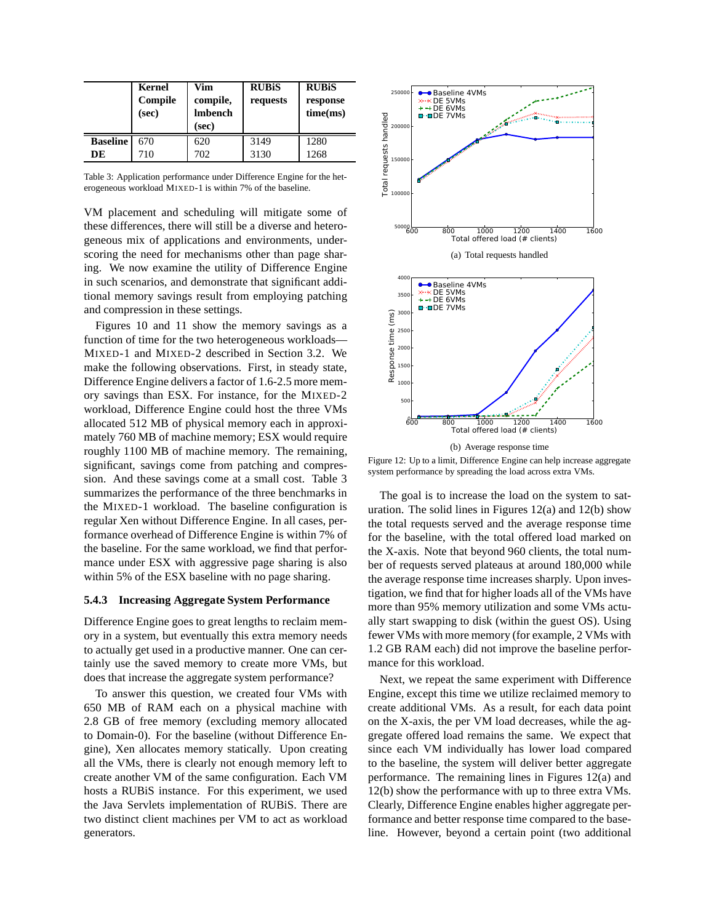|                 | Kernel<br>Compile<br>(sec) | Vim<br>compile,<br><b>Imbench</b><br>(sec) | <b>RUBIS</b><br>requests | <b>RUBIS</b><br>response<br>time(ms) |
|-----------------|----------------------------|--------------------------------------------|--------------------------|--------------------------------------|
| <b>Baseline</b> | 670                        | 620                                        | 3149                     | 1280                                 |
| DE              | 710                        | 702                                        | 3130                     | 1268                                 |

Table 3: Application performance under Difference Engine for the heterogeneous workload MIXED-1 is within 7% of the baseline.

VM placement and scheduling will mitigate some of these differences, there will still be a diverse and heterogeneous mix of applications and environments, underscoring the need for mechanisms other than page sharing. We now examine the utility of Difference Engine in such scenarios, and demonstrate that significant additional memory savings result from employing patching and compression in these settings.

Figures 10 and 11 show the memory savings as a function of time for the two heterogeneous workloads— MIXED-1 and MIXED-2 described in Section 3.2. We make the following observations. First, in steady state, Difference Engine delivers a factor of 1.6-2.5 more memory savings than ESX. For instance, for the MIXED-2 workload, Difference Engine could host the three VMs allocated 512 MB of physical memory each in approximately 760 MB of machine memory; ESX would require roughly 1100 MB of machine memory. The remaining, significant, savings come from patching and compression. And these savings come at a small cost. Table 3 summarizes the performance of the three benchmarks in the MIXED-1 workload. The baseline configuration is regular Xen without Difference Engine. In all cases, performance overhead of Difference Engine is within 7% of the baseline. For the same workload, we find that performance under ESX with aggressive page sharing is also within 5% of the ESX baseline with no page sharing.

#### **5.4.3 Increasing Aggregate System Performance**

Difference Engine goes to great lengths to reclaim memory in a system, but eventually this extra memory needs to actually get used in a productive manner. One can certainly use the saved memory to create more VMs, but does that increase the aggregate system performance?

To answer this question, we created four VMs with 650 MB of RAM each on a physical machine with 2.8 GB of free memory (excluding memory allocated to Domain-0). For the baseline (without Difference Engine), Xen allocates memory statically. Upon creating all the VMs, there is clearly not enough memory left to create another VM of the same configuration. Each VM hosts a RUBiS instance. For this experiment, we used the Java Servlets implementation of RUBiS. There are two distinct client machines per VM to act as workload generators.



(b) Average response time Figure 12: Up to a limit, Difference Engine can help increase aggregate system performance by spreading the load across extra VMs.

The goal is to increase the load on the system to saturation. The solid lines in Figures 12(a) and 12(b) show the total requests served and the average response time for the baseline, with the total offered load marked on the X-axis. Note that beyond 960 clients, the total number of requests served plateaus at around 180,000 while the average response time increases sharply. Upon investigation, we find that for higher loads all of the VMs have more than 95% memory utilization and some VMs actually start swapping to disk (within the guest OS). Using fewer VMs with more memory (for example, 2 VMs with 1.2 GB RAM each) did not improve the baseline performance for this workload.

Next, we repeat the same experiment with Difference Engine, except this time we utilize reclaimed memory to create additional VMs. As a result, for each data point on the X-axis, the per VM load decreases, while the aggregate offered load remains the same. We expect that since each VM individually has lower load compared to the baseline, the system will deliver better aggregate performance. The remaining lines in Figures 12(a) and 12(b) show the performance with up to three extra VMs. Clearly, Difference Engine enables higher aggregate performance and better response time compared to the baseline. However, beyond a certain point (two additional